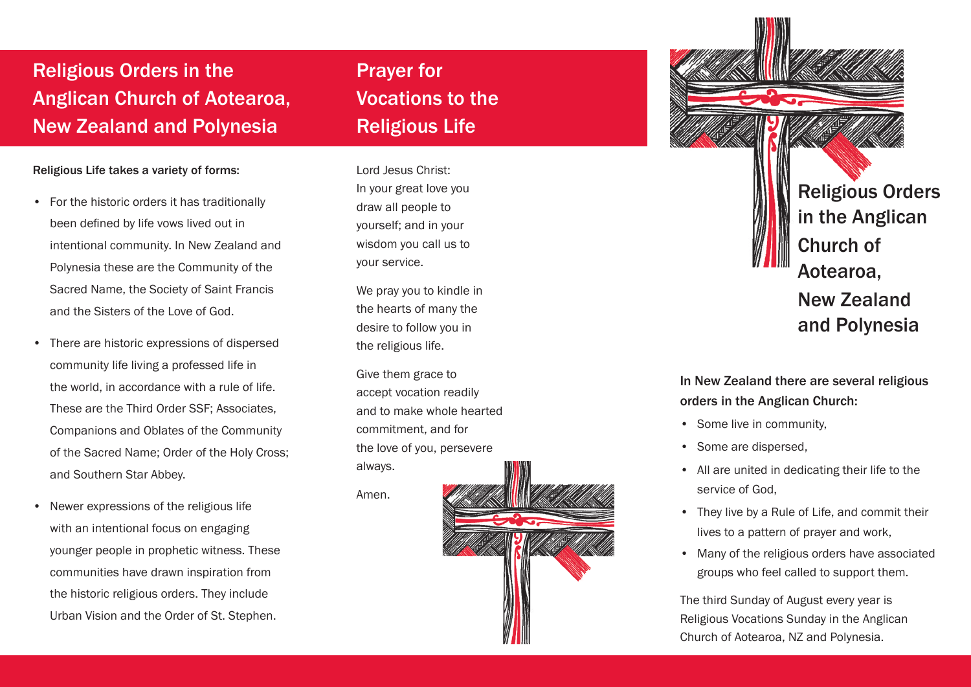## Religious Orders in the Anglican Church of Aotearoa, New Zealand and Polynesia

#### Religious Life takes a variety of forms:

- • For the historic orders it has traditionally been defined by life vows lived out in intentional community. In New Zealand and Polynesia these are the Community of the Sacred Name, the Society of Saint Francis and the Sisters of the Love of God.
- • There are historic expressions of dispersed community life living a professed life in the world, in accordance with a rule of life. These are the Third Order SSF; Associates, Companions and Oblates of the Community of the Sacred Name; Order of the Holy Cross; and Southern Star Abbey.
- Newer expressions of the religious life with an intentional focus on engaging younger people in prophetic witness. These communities have drawn inspiration from the historic religious orders. They include Urban Vision and the Order of St. Stephen.

Prayer for Vocations to the Religious Life

Lord Jesus Christ: In your great love you draw all people to yourself; and in your wisdom you call us to your service.

We pray you to kindle in the hearts of many the desire to follow you in the religious life.

Give them grace to accept vocation readily and to make whole hearted commitment, and for the love of you, persevere always.

Amen.





#### In New Zealand there are several religious orders in the Anglican Church:

- Some live in community,
- Some are dispersed,
- • All are united in dedicating their life to the service of God,
- They live by a Rule of Life, and commit their lives to a pattern of prayer and work,
- Many of the religious orders have associated groups who feel called to support them.

The third Sunday of August every year is Religious Vocations Sunday in the Anglican Church of Aotearoa, NZ and Polynesia.